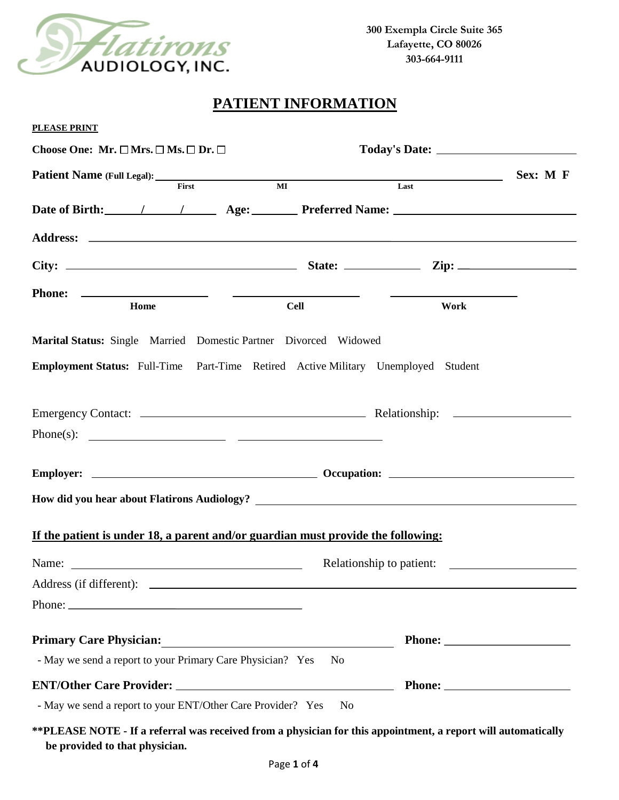

# **PATIENT INFORMATION**

| <b>PLEASE PRINT</b>                                                                                            |                                                                                                                       |                          |          |
|----------------------------------------------------------------------------------------------------------------|-----------------------------------------------------------------------------------------------------------------------|--------------------------|----------|
| Choose One: Mr. $\square$ Mrs. $\square$ Ms. $\square$ Dr. $\square$                                           |                                                                                                                       |                          |          |
| First                                                                                                          | $\overline{M}$                                                                                                        | Last                     | Sex: M F |
|                                                                                                                |                                                                                                                       |                          |          |
| Date of Birth: 1 1 Age: Preferred Name: 1 and 200 minutes of Birth:                                            |                                                                                                                       |                          |          |
|                                                                                                                |                                                                                                                       |                          |          |
|                                                                                                                |                                                                                                                       |                          |          |
|                                                                                                                |                                                                                                                       |                          |          |
| Home                                                                                                           | <b>Cell</b>                                                                                                           | Work                     |          |
|                                                                                                                |                                                                                                                       |                          |          |
| Marital Status: Single Married Domestic Partner Divorced Widowed                                               |                                                                                                                       |                          |          |
| Employment Status: Full-Time Part-Time Retired Active Military Unemployed Student                              |                                                                                                                       |                          |          |
|                                                                                                                |                                                                                                                       |                          |          |
|                                                                                                                |                                                                                                                       |                          |          |
| Phone(s): $\qquad \qquad$                                                                                      |                                                                                                                       |                          |          |
|                                                                                                                |                                                                                                                       |                          |          |
|                                                                                                                |                                                                                                                       |                          |          |
|                                                                                                                |                                                                                                                       |                          |          |
|                                                                                                                |                                                                                                                       |                          |          |
| If the patient is under 18, a parent and/or guardian must provide the following:                               |                                                                                                                       |                          |          |
|                                                                                                                |                                                                                                                       | Relationship to patient: |          |
|                                                                                                                |                                                                                                                       |                          |          |
|                                                                                                                |                                                                                                                       |                          |          |
|                                                                                                                |                                                                                                                       |                          |          |
| <b>Primary Care Physician:</b>                                                                                 | <u> 1989 - Andrea Albert III, martin a bhaile an t-ainm an t-ainm an t-ainm an t-ainm an t-ainm an t-ainm an t-ai</u> |                          |          |
| - May we send a report to your Primary Care Physician? Yes                                                     |                                                                                                                       | N <sub>0</sub>           |          |
|                                                                                                                |                                                                                                                       |                          |          |
| - May we send a report to your ENT/Other Care Provider? Yes                                                    |                                                                                                                       | N <sub>o</sub>           |          |
| ** PLEASE NOTE - If a referral was received from a physician for this appointment, a report will automatically |                                                                                                                       |                          |          |

**be provided to that physician.**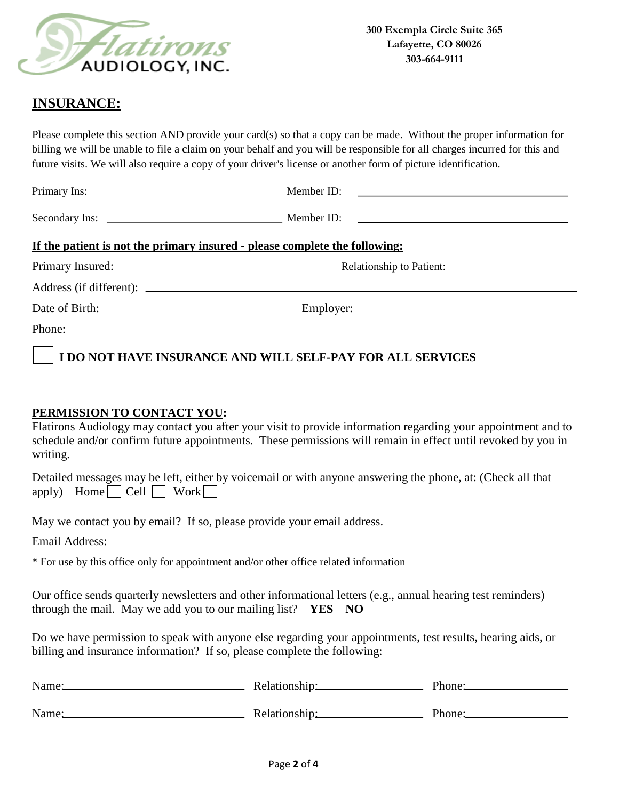

## **INSURANCE:**

Please complete this section AND provide your card(s) so that a copy can be made. Without the proper information for billing we will be unable to file a claim on your behalf and you will be responsible for all charges incurred for this and future visits. We will also require a copy of your driver's license or another form of picture identification.

| If the patient is not the primary insured - please complete the following: |  |
|----------------------------------------------------------------------------|--|
|                                                                            |  |
|                                                                            |  |
|                                                                            |  |
| Phone:                                                                     |  |

 **I DO NOT HAVE INSURANCE AND WILL SELF-PAY FOR ALL SERVICES**

### **PERMISSION TO CONTACT YOU:**

Flatirons Audiology may contact you after your visit to provide information regarding your appointment and to schedule and/or confirm future appointments. These permissions will remain in effect until revoked by you in writing.

Detailed messages may be left, either by voicemail or with anyone answering the phone, at: (Check all that apply) Home  $\Box$  Cell  $\Box$  Work  $\Box$ 

May we contact you by email? If so, please provide your email address.

Email Address:

\* For use by this office only for appointment and/or other office related information

Our office sends quarterly newsletters and other informational letters (e.g., annual hearing test reminders) through the mail. May we add you to our mailing list? **YES NO**

Do we have permission to speak with anyone else regarding your appointments, test results, hearing aids, or billing and insurance information? If so, please complete the following:

|               | Phone:        |
|---------------|---------------|
|               |               |
| Relationship: | Phone:        |
|               | Relationship: |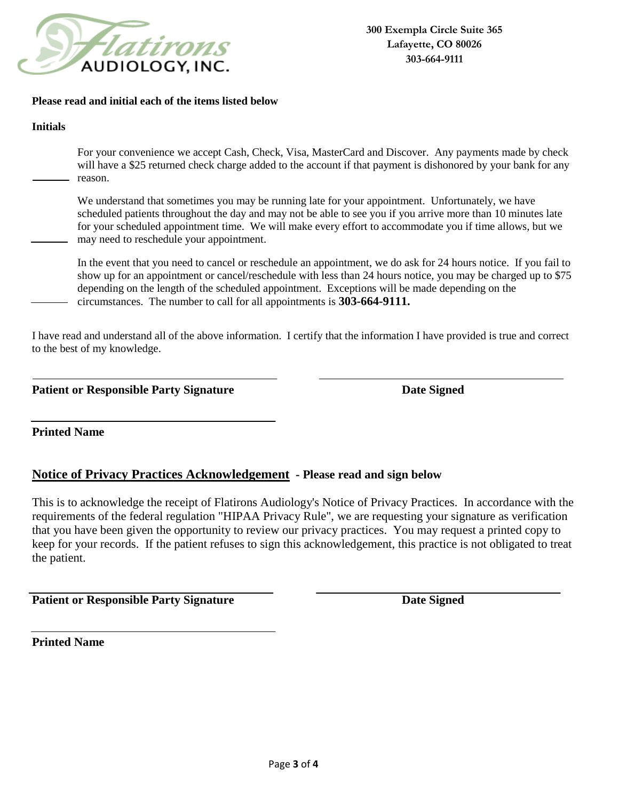

#### **Please read and initial each of the items listed below**

#### **Initials**

For your convenience we accept Cash, Check, Visa, MasterCard and Discover. Any payments made by check will have a \$25 returned check charge added to the account if that payment is dishonored by your bank for any reason.

We understand that sometimes you may be running late for your appointment. Unfortunately, we have scheduled patients throughout the day and may not be able to see you if you arrive more than 10 minutes late for your scheduled appointment time. We will make every effort to accommodate you if time allows, but we may need to reschedule your appointment.

In the event that you need to cancel or reschedule an appointment, we do ask for 24 hours notice. If you fail to show up for an appointment or cancel/reschedule with less than 24 hours notice, you may be charged up to \$75 depending on the length of the scheduled appointment. Exceptions will be made depending on the circumstances. The number to call for all appointments is **303-664-9111.** 

I have read and understand all of the above information. I certify that the information I have provided is true and correct to the best of my knowledge.

**Patient or Responsible Party Signature Date Signed Date Signed** 

**Printed Name**

## **Notice of Privacy Practices Acknowledgement - Please read and sign below**

This is to acknowledge the receipt of Flatirons Audiology's Notice of Privacy Practices. In accordance with the requirements of the federal regulation "HIPAA Privacy Rule", we are requesting your signature as verification that you have been given the opportunity to review our privacy practices. You may request a printed copy to keep for your records. If the patient refuses to sign this acknowledgement, this practice is not obligated to treat the patient.

**Patient or Responsible Party Signature Date Signed Date Signed** 

**Printed Name**